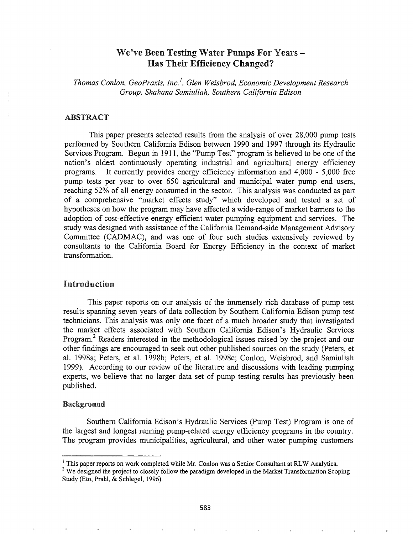# We've Been Testing Water Pumps For Years -Has Their Efficiency Changed?

*Thomas Conlon, GeoPraxis, Inc.* <sup>I</sup> , *Glen Weisbrod, Economic Development Research Group, Shahana Samiullah, Southern California Edison*

#### ABSTRACT

This paper presents selected results from the analysis of over 28,000 pump tests performed by Southern California Edison between 1990 and 1997 through its Hydraulic Services Program. Begun in 1911, the "Pump Test" program is believed to be one of the nation's oldest continuously operating industrial and agricultural energy efficiency programs. It currently provides energy efficiency information and 4,000 - 5,000 free pump tests per year to over 650 agricultural and municipal water pump end users, reaching 52% of all energy consumed in the sector. This analysis was conducted as part of a comprehensive "market effects study" which developed and tested a set of hypotheses on how the program may have affected a wide-range of market barriers to the adoption of cost-effective energy efficient water pumping equipment and services. The study was designed with assistance of the California Demand-side Management Advisory Committee (CADMAC), and was one of four such studies extensively reviewed by consultants to the California Board for Energy Efficiency in the context of market transformation.

### Introduction

This paper reports on our analysis of the immensely rich database of pump test results spanning seven years of data collection by Southern California Edison pump test technicians. This analysis was only one facet of a much broader study that investigated the market effects associated with Southern California Edison's Hydraulic Services Program.<sup>2</sup> Readers interested in the methodological issues raised by the project and our other findings are encouraged to seek out other published sources on the study (Peters, et al. 1998a; Peters, et al. 1998b; Peters, et al. 1998c; Conlon, Weisbrod, and Samiullah 1999). According to our review of the literature and discussions with leading pumping experts, we believe that no larger data set of pump testing results has previously been published.

### Background

Southern California Edison's Hydraulic Services (Pump Test) Program is one of the largest and longest running pump-related energy efficiency programs in the country. The program provides municipalities, agricultural, and other water pumping customers

<sup>&</sup>lt;sup>1</sup> This paper reports on work completed while Mr. Conlon was a Senior Consultant at RLW Analytics.

 $2$  We designed the project to closely follow the paradigm developed in the Market Transformation Scoping Study (Eto, Prahl, & Schlegel, 1996).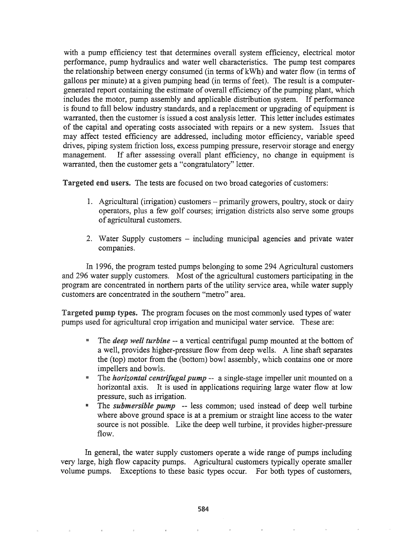with a pump efficiency test that determines overall system efficiency, electrical motor performance, pump hydraulics and water well characteristics. The pump test compares the relationship between energy consumed (in terms of kWh) and water flow (in terms of gallons per minute) at a given pumping head (in terms of feet). The result is a computergenerated report containing the estimate of overall efficiency of the pumping plant, which includes the motor, pump assembly and applicable distribution system. If performance is found to fall below industry standards, and a replacement or upgrading of equipment is warranted, then the customer is issued a cost analysis letter. This letter includes estimates of the capital and operating costs associated with repairs or a new system. Issues that may affect tested efficiency are addressed, including motor efficiency, variable speed drives, piping system friction loss, excess pumping pressure, reservoir storage and energy management. If after assessing overall plant efficiency, no change in equipment is warranted, then the customer gets a "congratulatory" letter.

Targeted end users. The tests are focused on two broad categories of customers:

- 1. Agricultural (irrigation) customers primarily growers, poultry, stock or dairy operators, plus a few golf courses; irrigation districts also serve some groups of agricultural customers.
- 2. Water Supply customers including municipal agencies and private water companies.

In 1996, the program tested pumps belonging to some 294 Agricultural customers and 296 water supply customers. Most of the agricultural customers participating in the program are concentrated in northern parts of the utility service area, while water supply customers are concentrated in the southern "metro" area..

Targeted pump types. The program focuses on the most commonly used types of water pumps used for agricultural crop irrigation and municipal water service. These are:

- The *deep* well *turbine* -- a vertical centrifugal pump mounted at the bottom of a well, provides higher-pressure flow from deep wells. A line shaft separates the (top) motor from the (bottom) bowl assembly, which contains one or more impellers and bowls.
- The *horizontal centrifugal pump* -- a single-stage impeller unit mounted on a horizontal axis. It is used in applications requiring large water flow at low pressure, such as irrigation.
- <sup>8</sup> The *submersible pump* -- less common; used instead of deep well turbine where above ground space is at a premium or straight line access to the water source is not possible. Like the deep well turbine, it provides higher-pressure flow.

In general, the water supply customers operate a wide range of pumps including very large, high flow capacity pumps. Agricultural customers typically operate smaller volume pumps. Exceptions to these basic types occur. For both types of customers,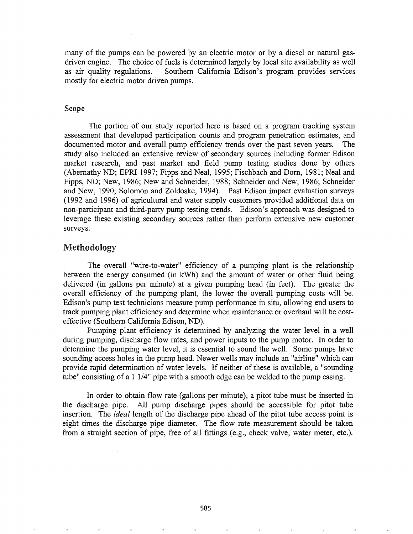many of the pumps can be powered by an electric motor or by a diesel or natural gasdriven engine. The choice of fuels is determined largely by local site availability as well as air quality regulations. Southern California Edison's program provides services mostly for electric motor driven pumps.

#### Scope

The portion of our study reported here is based on a program tracking system assessment that developed participation counts and program penetration estimates, and documented motor and overall pump efficiency trends over the past seven years. The study also included an extensive review of secondary sources including former Edison market research, and past market and field pump testing studies done by others (Abernathy ND; EPRI 1997; Fipps and Neal, 1995; Fischbach and Dorn, 1981; Neal and Fipps, ND; New, 1986; New and Schneider, 1988; Schneider and New, 1986; Schneider and New, 1990; Solomon and Zoldoske, 1994). Past Edison impact evaluation surveys (1992 and 1996) of agricultural and water supply customers provided additional data on non-participant and third-party pump testing trends. Edison's approach was designed to leverage these existing secondary sources rather than perform extensive new customer surveys.

### Methodology

The overall "wire-to-water" efficiency of a pumping plant is the relationship between the energy consumed (in kWh) and the amount of water or other fluid being delivered (in gallons per minute) at a given pumping head (in feet). The greater the overall efficiency of the pumping plant, the lower the overall pumping costs will be. Edison's pump test technicians measure pump performance in situ, allowing end users to track pumping plant efficiency and determine when maintenance or overhaul will be costeffective (Southern California Edison, ND).

Pumping plant efficiency is determined by analyzing the water level in a well during pumping, discharge flow rates, and power inputs to the pump motor. In order to determine the pumping water level, it is essential to sound the well. Some pumps have sounding access holes in the pump head. Newer wells may include an "airline" which can provide rapid detennination of water levels. If neither of these is available, a "sounding tube" consisting of a 1 1/4" pipe with a smooth edge can be welded to the pump casing.

In order to obtain flow rate (gallons per minute), a pitat tube must be inserted in the discharge pipe. All pump discharge pipes should be accessible for pitot tube insertion. The *ideal* length of the discharge pipe ahead of the pitot tube access point is eight times the discharge pipe diameter. The flow rate measurement should be taken from a straight section of pipe, free of all fittings (e.g., check valve, water meter, etc.).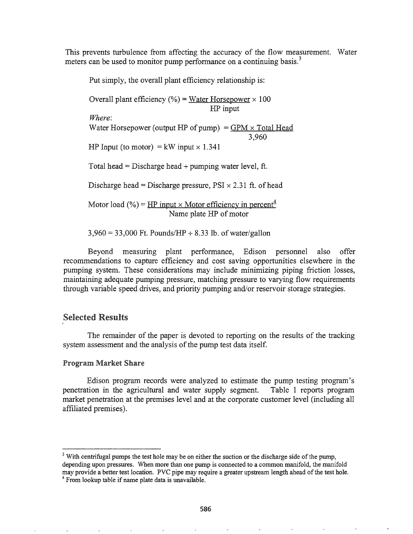This prevents turbulence from affecting the accuracy of the flow measurement. Water meters can be used to monitor pump performance on a continuing basis.<sup>3</sup>

Put simply, the overall plant efficiency relationship is:

Overall plant efficiency (%) = Water Horsepower  $\times$  100 HP input *Where:* Water Horsepower (output HP of pump) =  $GPM \times Total Head$ 3,960 HP Input (to motor) = kW input  $\times$  1.341 Total head = Discharge head + pumping water level, ft. Discharge head = Discharge pressure,  $PSI \times 2.31$  ft. of head Motor load (%) = HP input  $\times$  Motor efficiency in percent<sup>4</sup> Name plate HP of motor

 $3,960 = 33,000$  Ft. Pounds/HP  $\div 8.33$  lb. of water/gallon

Beyond measuring plant perfonnance, Edison personnel also offer recommendations to capture efficiency and cost saving opportunities elsewhere in the pumping system. These considerations may include minimizing piping friction losses, maintaining adequate pumping pressure, matching pressure to varying flow requirements through variable speed drives, and priority pumping and/or reservoir storage strategies.

## Selected Results

The remainder of the paper is devoted to reporting on the results of the tracking system assessment and the analysis of the pump test data itself.

### **Program Market Share**

Edison program records were analyzed to estimate the pump testing program's penetration in the agricultural and water supply segment. Table 1 reports program market penetration at the premises level and at the corporate customer level (including all affiliated premises).

 $3$  With centrifugal pumps the test hole may be on either the suction or the discharge side of the pump, depending upon pressures. When more than one pump is connected to a common manifold, the manifold may provide a better test location. PVC pipe may require a greater upstream length ahead ofthe test hole.  $4$  From lookup table if name plate data is unavailable.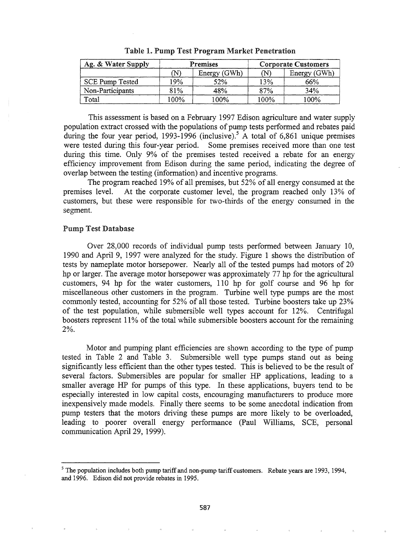| Ag. & Water Supply |      | <b>Premises</b> | <b>Corporate Customers</b> |              |  |
|--------------------|------|-----------------|----------------------------|--------------|--|
|                    | (N)  | Energy (GWh)    | $(\mathbb{N})$             | Energy (GWh) |  |
| SCE Pump Tested    | '9%  | 52%             | 13%                        | 66%          |  |
| Non-Participants   | 81%  | 48%             | 87%                        | 34%          |  |
| Total              | 100% | 100%            | 100%                       | 100%         |  |

Table I. Pump Test Program Market Penetration

This assessment is based on a February 1997 Edison agriculture and water supply population extract crossed with the populations of pump tests performed and rebates paid during the four year period, 1993-1996 (inclusive).<sup>5</sup> A total of 6,861 unique premises were tested during this four-year period.. Some premises received more than one test during this time. Only 9% of the premises tested received a rebate for an energy efficiency improvement from Edison during the same period, indicating the degree of overlap between the testing (information) and incentive programs.

The program reached 19% of all premises, but 52% of all energy consumed at the premises level. At the corporate customer level, the program reached only 13% of customers, but these were responsible for two-thirds of the energy consumed in the segment.

### Pump Test Database

Over 28,000 records of individual pump tests perfonned between January 10, 1990 and April 9, 1997 were analyzed for the study. Figure 1 shows the distribution of tests by nameplate motor horsepower. Nearly all of the tested pumps had motors of 20 hp or larger. The average motor horsepower was approximately 77 hp for the agricultural customers, 94 hp for the water customers, 110 hp for golf course and 96 hp for miscellaneous other customers in the program. Turbine well type pumps are the most commonly tested, accounting for 52% of all those tested. Turbine boosters take up 23% of the test population, while submersible well types account for 12%. Centrifugal boosters represent 11% of the total while submersible boosters account for the remaining 2%.

Motor and pumping plant efficiencies are shown according to the type of pump tested in Table 2 and Table 3. Submersible well type pumps stand out as being significantly less efficient than the other types tested. This is believed to be the result of several factors. Submersibles are popular for smaller HP applications, leading to a smaller average HP for pumps of this type. In these applications, buyers tend to be especially interested in low capital costs, encouraging manufacturers to produce more inexpensively made models. Finally there seems to be some anecdotal indication from pump testers that the motors driving these pumps are more likely to be overloaded, leading to poorer overall energy performance (Paul Williams, SCE, personal communication April 29, 1999).

<sup>&</sup>lt;sup>5</sup> The population includes both pump tariff and non-pump tariff customers. Rebate years are 1993, 1994, and 1996. Edison did not provide rebates in 1995.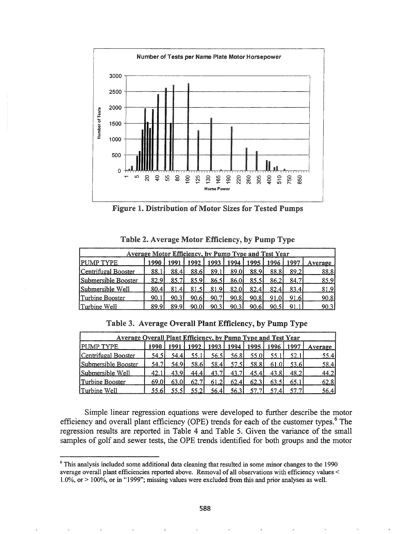

Figure 1. Distribution of Motor Sizes for Tested Pumps

| <b>Average Motor Efficiency, by Pump Type and Test Year</b> |      |      |       |       |       |       |       |       |         |
|-------------------------------------------------------------|------|------|-------|-------|-------|-------|-------|-------|---------|
| <b>PUMP TYPE</b>                                            | 1990 | 1991 | 1992  | 1993  | 1994  | 1995  | 1996  | 1997  | Average |
| Centrifugal Booster                                         | 88.1 | 88.4 | 88.6I | 89.11 | 89.0I | 88.91 | 88.81 | 89.2  | 88.81   |
| Submersible Booster                                         | 82.9 | 85.7 | 85.91 | 86.5I | 86.0I | 85.51 | 86.21 | 84.7  | 85.9    |
| Submersible Well                                            | 80.4 | 81.4 |       | 81.91 | 82.OI | 82.4I | 82.4  | 83.41 | 81.9    |
| lTurbine Booster                                            | 90.1 | 90.3 | 90.61 | 90.7  | 90.81 | 90.81 | 91 O  |       | 90.8    |
| lTurbine Well                                               | 89 Q | 80 O | 90 N  |       | 90.3  |       |       |       | 90.31   |

Table 2. Average Motor Efficiency, by Pump Type

| <b>Average Overall Plant Efficiency, by Pump Type and Test Year</b> |       |       |       |       |                   |       |       |       |         |
|---------------------------------------------------------------------|-------|-------|-------|-------|-------------------|-------|-------|-------|---------|
| <b>PUMP TYPE</b>                                                    | 1990  | 1991  | 1992  | 1993  | 1994              | 1995  | 1996  | 1997  | Average |
| Centrifugal Booster                                                 | 54.51 | 54.41 | 55.11 | 56.5I | 56.8 <sup>1</sup> | 55.0I |       | 52.1  | 55.4    |
| Submersible Booster                                                 | 54.7  | 54.9  | 58.61 | 58.41 | 57.51             | 58.81 | 61.01 | 53.6I | 58.4    |
| Submersible Well                                                    | 42.1  | 43.91 | 44.4  | 43.7  | 43.71             | 45.41 | 43.81 | 48.2  | 44.2    |
| Turbine Booster                                                     | 69 OI | 63.0  | 62.7  | 61.2I | 62.4l             | 62.31 | 63.5' |       | 62.8    |
| Turbine Well                                                        |       |       |       | 56.41 | 56.3 <sub>1</sub> |       |       |       | 56.4I   |

Simple linear regression equations were developed to further describe the motor efficiency and overall plant efficiency (OPE) trends for each of the customer types.<sup>6</sup> The regression results are reported in Table 4 and Table 5. Given the variance of the small samples of golf and sewer tests, the OPE trends identified for both groups and the motor

 $6$  This analysis included some additional data cleaning that resulted in some minor changes to the 1990 average overall plant efficiencies reported above. Removal of all observations with efficiency values < 1.0%, or> 100%, or in "1999"; missing values were excluded from this and prior analyses as well.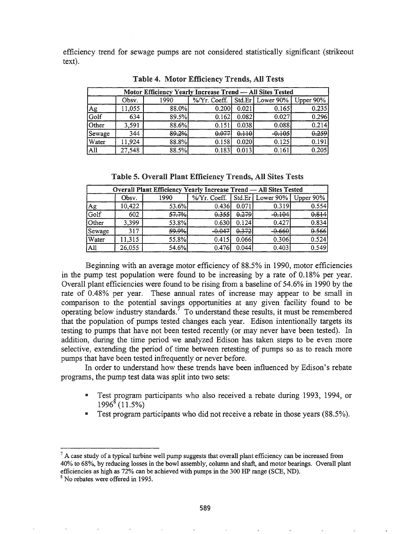efficiency trend for sewage pumps are not considered statistically significant (strikeout text).

| Motor Efficiency Yearly Increase Trend - All Sites Tested |        |       |                                                            |       |          |       |  |  |  |
|-----------------------------------------------------------|--------|-------|------------------------------------------------------------|-------|----------|-------|--|--|--|
|                                                           | Obsv.  | 1990  | $\frac{1}{2}$ /Yr. Coeff.   Std.Er   Lower 90%   Upper 90% |       |          |       |  |  |  |
|                                                           | 11,055 | 88.0% | 0.200                                                      | 0.021 | 0.165    | 0.235 |  |  |  |
| Ag<br>Golf                                                | 634    | 89.5% | 0.162                                                      | 0.082 | 0.027    | 0.296 |  |  |  |
| Other                                                     | 3,591  | 88.6% | 0.151                                                      | 0.038 | 0.088    | 0.214 |  |  |  |
| Sewage                                                    | 344    | 89.2% | 0.077                                                      | 0.110 | $-0.105$ | 0.259 |  |  |  |
| Water                                                     | 11,924 | 88.8% | 0.158                                                      | 0.020 | 0.125    | 0.191 |  |  |  |
| All                                                       | 27,548 | 88.5% | 0.183                                                      | 0.013 | 0.161    | 0.205 |  |  |  |

Table 4& Motor Efficiency Trends, All Tests

|  |  |  | Table 5. Overall Plant Efficiency Trends, All Sites Tests |  |  |  |  |
|--|--|--|-----------------------------------------------------------|--|--|--|--|
|--|--|--|-----------------------------------------------------------|--|--|--|--|

| Overall Plant Efficiency Yearly Increase Trend - All Sites Tested |        |       |                                               |       |          |       |  |  |  |  |
|-------------------------------------------------------------------|--------|-------|-----------------------------------------------|-------|----------|-------|--|--|--|--|
|                                                                   | Obsv.  | 1990  | %/Yr. Coeff.   Std.Er   Lower 90%   Upper 90% |       |          |       |  |  |  |  |
|                                                                   | 10,422 | 53.6% | 0.436                                         | 0.071 | 0.319    | 0.554 |  |  |  |  |
| $\frac{\text{Ag}}{\text{Golf}}$                                   | 602    | 57.7% | 0.355                                         | 0.279 | $-0.104$ | 0.814 |  |  |  |  |
| Other                                                             | 3.399  | 53.8% | 0.630                                         | 0.124 | 0.427    | 0.834 |  |  |  |  |
| Sewage                                                            | 317    | 59.9% | -0.047                                        | 0.372 | -0.660   | 0.566 |  |  |  |  |
| Water                                                             | 11,315 | 55.8% | 0.415                                         | 0.066 | 0.306    | 0.524 |  |  |  |  |
| $\overline{All}$                                                  | 26,055 | 54.6% | 0.476                                         | 0.044 | 0.403    | 0.549 |  |  |  |  |

Beginning with an average motor efficiency of 88.5% in 1990, motor efficiencies in the pump test population were found to be increasing by a rate of 0.18% per year. Overall plant efficiencies were found to be rising from a baseline of 54.6% in 1990 by the rate of 0.48% per year. These annual rates of increase may appear to be small in comparison to the potential savings opportunities at any given facility found to be operating below industry standards.<sup>7</sup> To understand these results, it must be remembered that the population of pumps tested changes each year. Edison intentionally targets its testing to pumps that have not been tested recently (or may never have been tested). In addition, during the time period we analyzed Edison has taken steps to be even more selective, extending the period of time between retesting of pumps so as to reach more pumps that have been tested infrequently or never before.

In order to understand how these trends have been influenced by Edison's rebate programs, the pump test data was split into two sets:

- Test program participants who also received a rebate during 1993, 1994, or  $1996^8(11.5%)$
- Test program participants who did not receive a rebate in those years (88.5%).

 $<sup>7</sup>$  A case study of a typical turbine well pump suggests that overall plant efficiency can be increased from</sup> 40% to 68%, by reducing losses in the bowl assembly, column and shaft, and motor bearings~ Overall plant efficiencies as high as 72% can be achieved with pumps in the 300 HP range (SCE, ND).

<sup>&</sup>lt;sup>8</sup> No rebates were offered in 1995.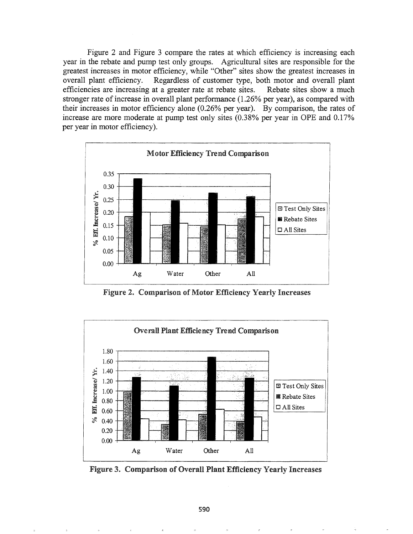Figure 2 and Figure 3 compare the rates at which efficiency is increasing each year in the rebate and pump test only groups. Agricultural sites are responsible for the greatest increases in motor efficiency, while "Other" sites show the greatest increases in overall plant efficiency. Regardless of customer type, both motor and overall plant efficiencies are increasing at a greater rate at rebate sites. Rebate sites show a much stronger rate of increase in overall plant performance  $(1.26\%$  per year), as compared with their increases in motor efficiency alone (0.26% per year). By comparison, the rates of increase are more moderate at pump test only sites (0.38% per year in OPE and 0.17% per year in motor efficiency).



Figure 2. Comparison of Motor Efficiency Yearly Increases



Figure 3& Comparison of Overall Plant Efficiency Yearly Increases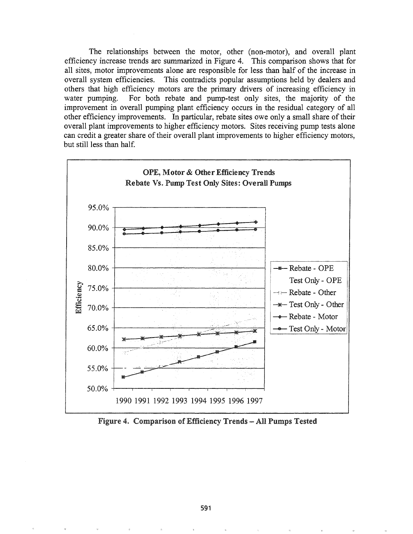The relationships between the motor, other (non-motor), and overall plant efficiency increase trends are summarized in Figure 4. This comparison shows that for all sites, motor improvements alone are responsible for less than half of the increase in overall system efficiencies. This contradicts popular assumptions held by dealers and others that high efficiency motors are the primary drivers of increasing efficiency in water pumping. For both rebate and pump-test only sites, the majority of the improvement in overall pumping plant efficiency occurs in the residual category of all other efficiency improvements. In particular, rebate sites owe only a small share of their overall plant improvements to higher efficiency motors. Sites receiving pump tests alone can credit a greater share of their overall plant improvements to higher efficiency motors, but still less than half.



Figure 4. Comparison of Efficiency Trends -- All Pumps Tested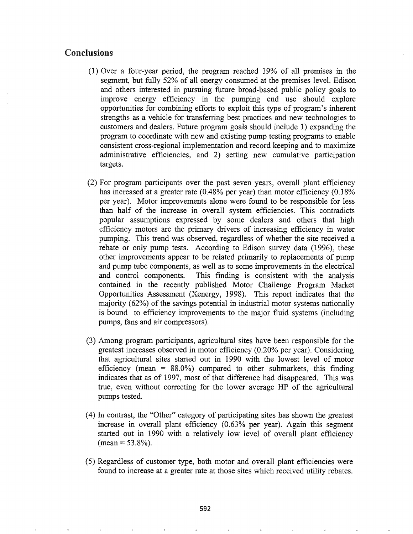# Conclusions

- (1) Over a four-year period, the program reached 19% of all premises in the segment, but fully 52% of all energy consumed at the premises level. Edison and others interested in pursuing future broad-based public policy goals to improve energy efficiency in the pumping end use should explore opportunities for combining efforts to exploit this type of program's inherent strengths as a vehicle for transferring best practices and new technologies to customers and dealers. Future program goals should include 1) expanding the program to coordinate with new and existing pump testing programs to enable consistent cross-regional implementation and record keeping and to maximize administrative efficiencies, and 2) setting new cumulative participation targets.
- (2) For program participants over the past seven years, overall plant efficiency has increased at a greater rate (0.48% per year) than motor efficiency (0.18% per year). Motor improvements alone were found to be responsible for less than half of the increase in overall system efficiencies. This contradicts popular assumptions expressed by some dealers and others that high efficiency motors are the primary drivers of increasing efficiency in water pumping. This trend was observed, regardless of whether the site received a rebate or only pump tests. According to Edison survey data (1996), these other improvements appear to be related primarily to replacements of pump and pump tube components, as well as to some improvements in the electrical and control components. This finding is consistent with the analysis contained in the recently published Motor Challenge Program Market Opportunities Assessment (Xenergy, 1998). This report indicates that the majority (62%) of the savings potential in industrial motor systems nationally is bound to efficiency improvements to the major fluid systems (including pumps, fans and air compressors).
- (3) Among program participants, agricultural sites have been responsible for the greatest increases observed in motor efficiency (0.20% per year). Considering that agricultural sites started out in 1990 with the lowest level of motor efficiency (mean  $= 88.0\%$ ) compared to other submarkets, this finding indicates that as of 1997, most of that difference had disappeared. This was true, even without correcting for the lower average HP of the agricultural pumps tested.
- (4) In contrast, the "Other" category of participating sites has shown the greatest increase in overall plant efficiency (0.63% per year). Again this segment started out in 1990 with a relatively low level of overall plant efficiency  $(\text{mean} = 53.8\%)$ .
- (5) Regardless of customer type, both motor and overall plant efficiencies were found to increase at a greater rate at those sites which received utility rebates.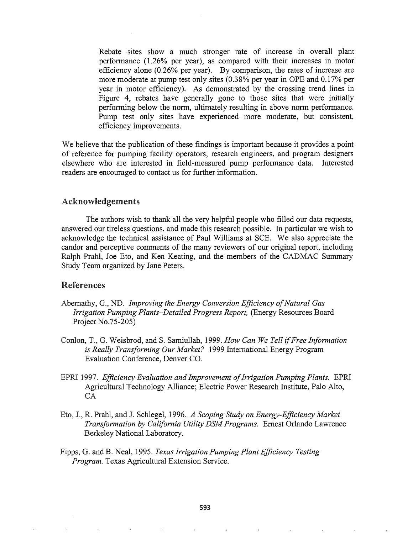Rebate sites show a much stronger rate of increase in overall plant performance (1.26% per year), as compared with their increases in motor efficiency alone (0.26% per year). By comparison, the rates of increase are more moderate at pump test only sites (0.38% per year in OPE and 0.17% per year in motor efficiency). As demonstrated by the crossing trend lines in Figure 4, rebates have generally gone to those sites that were initially performing below the norm, ultimately resulting in above norm performance. Pump test only sites have experienced more moderate, but consistent, efficiency improvements.

We believe that the publication of these findings is important because it provides a point of reference for pumping facility operators, research engineers, and program designers elsewhere who are interested in field-measured pump performance data. Interested readers are encouraged to contact us for further information.

### Acknowledgements

The authors wish to thank all the very helpful people who filled our data requests, answered our tireless questions, and made this research possible. In particular we wish to acknowledge the technical assistance of Paul Williams at SCE. We also appreciate the candor and perceptive comments of the many reviewers of our original report, including Ralph Prahl, Joe Eto, and Ken Keating, and the members of the CADMAC Summary Study Team organized by Jane Peters.

### References

- Abernathy, G., ND. *Improving the Energy Conversion Efficiency ofNatural Gas Irrigation Pumping Plants-Detailed Progress Report,* (Energy Resources Board Project No.75~205)
- Conlon, T., G. Weisbrod, and S. Samiullah, 1999. *How Can We Tell ifFree Information is Really Transforming Our Market?* 1999 International Energy Program Evaluation Conference, Denver CO.
- 1997. *Efficiency Evaluation and Improvement ofIrrigation Pumping Plants.* EPRI Agricultural Technology Alliance; Electric Power Research Institute, Palo Alto,  $CA$
- R~ Prahl, and J. Schlegel, 1996. *A Scoping Study on Energy-Efficiency Market Transformation by California Utility DSMPrograms.* Ernest Orlando Lawrence Berkeley National Laboratory.
- Fipps, Gs and B. Neal, 1995. *Texas Irrigation Pumping Plant Efficiency Testing Program.* Texas Agricultural Extension Service.